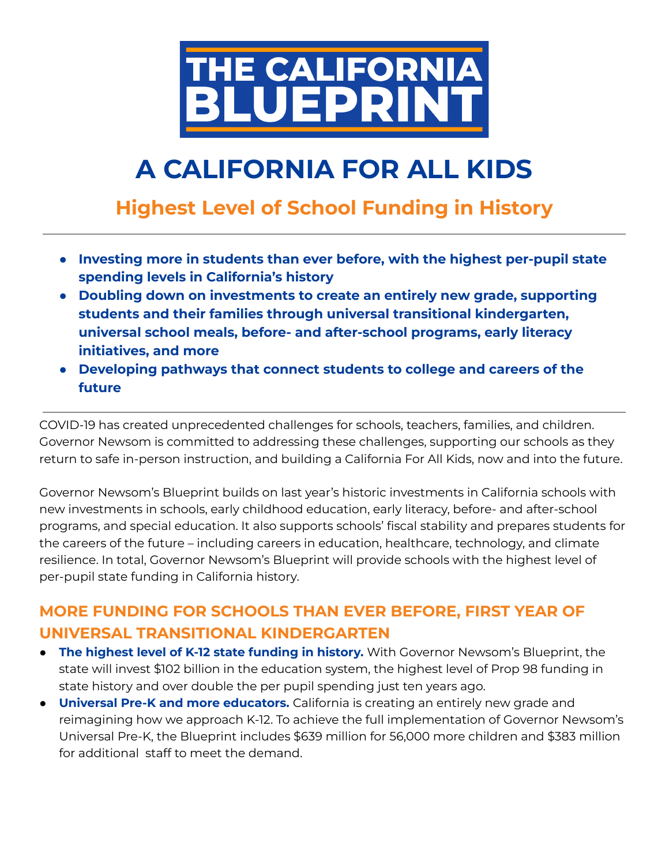

# **A CALIFORNIA FOR ALL KIDS**

# **Highest Level of School Funding in History**

- **● Investing more in students than ever before, with the highest per-pupil state spending levels in California's history**
- **● Doubling down on investments to create an entirely new grade, supporting students and their families through universal transitional kindergarten, universal school meals, before- and after-school programs, early literacy initiatives, and more**
- **● Developing pathways that connect students to college and careers of the future**

COVID-19 has created unprecedented challenges for schools, teachers, families, and children. Governor Newsom is committed to addressing these challenges, supporting our schools as they return to safe in-person instruction, and building a California For All Kids, now and into the future.

Governor Newsom's Blueprint builds on last year's historic investments in California schools with new investments in schools, early childhood education, early literacy, before- and after-school programs, and special education. It also supports schools' fiscal stability and prepares students for the careers of the future – including careers in education, healthcare, technology, and climate resilience. In total, Governor Newsom's Blueprint will provide schools with the highest level of per-pupil state funding in California history.

## **MORE FUNDING FOR SCHOOLS THAN EVER BEFORE, FIRST YEAR OF UNIVERSAL TRANSITIONAL KINDERGARTEN**

- **The highest level of K-12 state funding in history.** With Governor Newsom's Blueprint, the state will invest \$102 billion in the education system, the highest level of Prop 98 funding in state history and over double the per pupil spending just ten years ago.
- **Universal Pre-K and more educators.** California is creating an entirely new grade and reimagining how we approach K-12. To achieve the full implementation of Governor Newsom's Universal Pre-K, the Blueprint includes \$639 million for 56,000 more children and \$383 million for additional staff to meet the demand.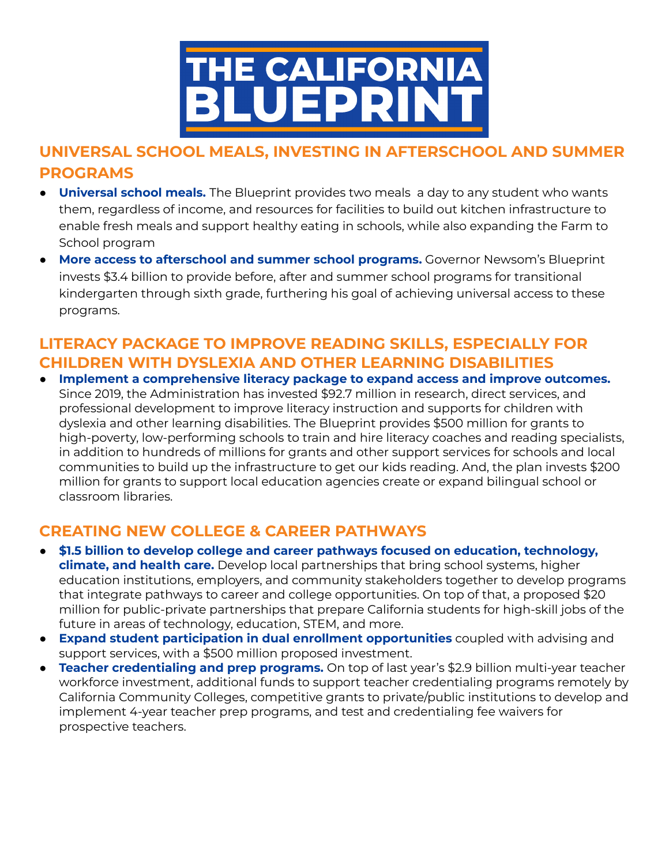

# **UNIVERSAL SCHOOL MEALS, INVESTING IN AFTERSCHOOL AND SUMMER PROGRAMS**

- **Universal school meals.** The Blueprint provides two meals a day to any student who wants them, regardless of income, and resources for facilities to build out kitchen infrastructure to enable fresh meals and support healthy eating in schools, while also expanding the Farm to School program
- **More access to afterschool and summer school programs.** Governor Newsom's Blueprint invests \$3.4 billion to provide before, after and summer school programs for transitional kindergarten through sixth grade, furthering his goal of achieving universal access to these programs.

### **LITERACY PACKAGE TO IMPROVE READING SKILLS, ESPECIALLY FOR CHILDREN WITH DYSLEXIA AND OTHER LEARNING DISABILITIES**

● **Implement a comprehensive literacy package to expand access and improve outcomes.** Since 2019, the Administration has invested \$92.7 million in research, direct services, and professional development to improve literacy instruction and supports for children with dyslexia and other learning disabilities. The Blueprint provides \$500 million for grants to high-poverty, low-performing schools to train and hire literacy coaches and reading specialists, in addition to hundreds of millions for grants and other support services for schools and local communities to build up the infrastructure to get our kids reading. And, the plan invests \$200 million for grants to support local education agencies create or expand bilingual school or classroom libraries.

#### **CREATING NEW COLLEGE & CAREER PATHWAYS**

- **\$1.5 billion to develop college and career pathways focused on education, technology, climate, and health care.** Develop local partnerships that bring school systems, higher education institutions, employers, and community stakeholders together to develop programs that integrate pathways to career and college opportunities. On top of that, a proposed \$20 million for public-private partnerships that prepare California students for high-skill jobs of the future in areas of technology, education, STEM, and more.
- **Expand student participation in dual enrollment opportunities** coupled with advising and support services, with a \$500 million proposed investment.
- **● Teacher credentialing and prep programs.** On top of last year's \$2.9 billion multi-year teacher workforce investment, additional funds to support teacher credentialing programs remotely by California Community Colleges, competitive grants to private/public institutions to develop and implement 4-year teacher prep programs, and test and credentialing fee waivers for prospective teachers.